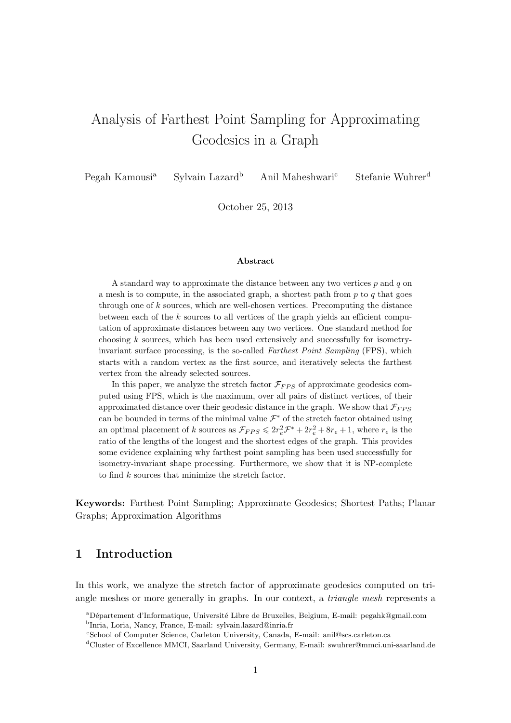# Analysis of Farthest Point Sampling for Approximating Geodesics in a Graph

Pegah Kamousi<sup>a</sup> Sylvain Lazard<sup>b</sup> Anil Maheshwari<sup>c</sup> Stefanie Wuhrer<sup>d</sup>

October 25, 2013

#### Abstract

A standard way to approximate the distance between any two vertices  $p$  and  $q$  on a mesh is to compute, in the associated graph, a shortest path from  $p$  to  $q$  that goes through one of  $k$  sources, which are well-chosen vertices. Precomputing the distance between each of the  $k$  sources to all vertices of the graph yields an efficient computation of approximate distances between any two vertices. One standard method for choosing k sources, which has been used extensively and successfully for isometryinvariant surface processing, is the so-called Farthest Point Sampling (FPS), which starts with a random vertex as the first source, and iteratively selects the farthest vertex from the already selected sources.

In this paper, we analyze the stretch factor  $\mathcal{F}_{FPS}$  of approximate geodesics computed using FPS, which is the maximum, over all pairs of distinct vertices, of their approximated distance over their geodesic distance in the graph. We show that  $\mathcal{F}_{FPS}$ can be bounded in terms of the minimal value  $\mathcal{F}^*$  of the stretch factor obtained using an optimal placement of k sources as  $\mathcal{F}_{FPS} \leq 2r_e^2 \mathcal{F}^* + 2r_e^2 + 8r_e + 1$ , where  $r_e$  is the ratio of the lengths of the longest and the shortest edges of the graph. This provides some evidence explaining why farthest point sampling has been used successfully for isometry-invariant shape processing. Furthermore, we show that it is NP-complete to find k sources that minimize the stretch factor.

Keywords: Farthest Point Sampling; Approximate Geodesics; Shortest Paths; Planar Graphs; Approximation Algorithms

#### 1 Introduction

In this work, we analyze the stretch factor of approximate geodesics computed on triangle meshes or more generally in graphs. In our context, a triangle mesh represents a

<sup>&</sup>lt;sup>a</sup>Département d'Informatique, Université Libre de Bruxelles, Belgium, E-mail: pegahk@gmail.com b Inria, Loria, Nancy, France, E-mail: sylvain.lazard@inria.fr

<sup>c</sup>School of Computer Science, Carleton University, Canada, E-mail: anil@scs.carleton.ca

<sup>d</sup>Cluster of Excellence MMCI, Saarland University, Germany, E-mail: swuhrer@mmci.uni-saarland.de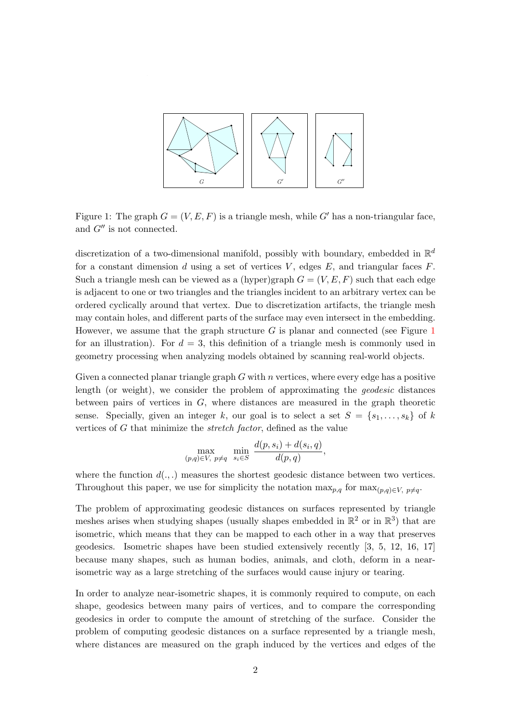

<span id="page-1-0"></span>Figure 1: The graph  $G = (V, E, F)$  is a triangle mesh, while G' has a non-triangular face, and  $G''$  is not connected.

discretization of a two-dimensional manifold, possibly with boundary, embedded in  $\mathbb{R}^d$ for a constant dimension d using a set of vertices  $V$ , edges  $E$ , and triangular faces  $F$ . Such a triangle mesh can be viewed as a (hyper)graph  $G = (V, E, F)$  such that each edge is adjacent to one or two triangles and the triangles incident to an arbitrary vertex can be ordered cyclically around that vertex. Due to discretization artifacts, the triangle mesh may contain holes, and different parts of the surface may even intersect in the embedding. However, we assume that the graph structure  $G$  is planar and connected (see Figure [1](#page-1-0)) for an illustration). For  $d = 3$ , this definition of a triangle mesh is commonly used in geometry processing when analyzing models obtained by scanning real-world objects.

Given a connected planar triangle graph  $G$  with n vertices, where every edge has a positive length (or weight), we consider the problem of approximating the geodesic distances between pairs of vertices in  $G$ , where distances are measured in the graph theoretic sense. Specially, given an integer k, our goal is to select a set  $S = \{s_1, \ldots, s_k\}$  of k vertices of G that minimize the stretch factor, defined as the value

$$
\max_{(p,q)\in V, \ p\neq q} \ \min_{s_i\in S} \ \frac{d(p,s_i)+d(s_i,q)}{d(p,q)},
$$

where the function  $d(.,.)$  measures the shortest geodesic distance between two vertices. Throughout this paper, we use for simplicity the notation  $\max_{p,q}$  for  $\max_{(p,q)\in V, p\neq q}$ .

The problem of approximating geodesic distances on surfaces represented by triangle meshes arises when studying shapes (usually shapes embedded in  $\mathbb{R}^2$  or in  $\mathbb{R}^3$ ) that are isometric, which means that they can be mapped to each other in a way that preserves geodesics. Isometric shapes have been studied extensively recently [\[3,](#page-11-0) [5,](#page-11-1) [12,](#page-12-0) [16,](#page-12-1) [17\]](#page-12-2) because many shapes, such as human bodies, animals, and cloth, deform in a nearisometric way as a large stretching of the surfaces would cause injury or tearing.

In order to analyze near-isometric shapes, it is commonly required to compute, on each shape, geodesics between many pairs of vertices, and to compare the corresponding geodesics in order to compute the amount of stretching of the surface. Consider the problem of computing geodesic distances on a surface represented by a triangle mesh, where distances are measured on the graph induced by the vertices and edges of the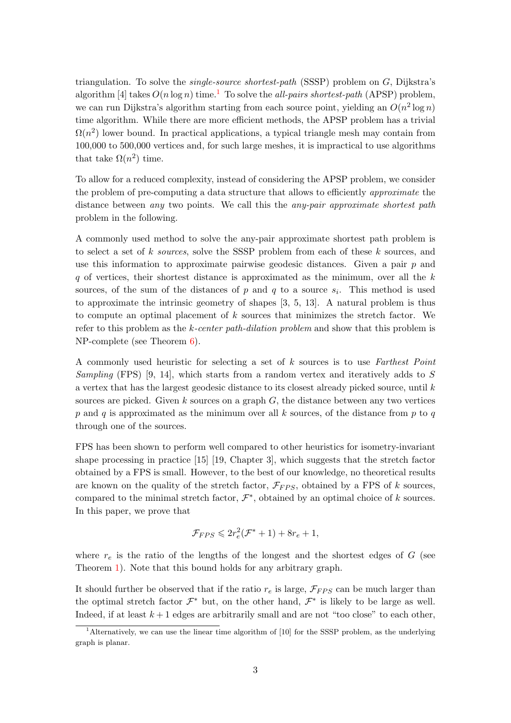triangulation. To solve the *single-source shortest-path* (SSSP) problem on  $G$ , Dijkstra's algorithm [\[4\]](#page-11-2) takes  $O(n \log n)$  time.<sup>[1](#page-2-0)</sup> To solve the *all-pairs shortest-path* (APSP) problem, we can run Dijkstra's algorithm starting from each source point, yielding an  $O(n^2 \log n)$ time algorithm. While there are more efficient methods, the APSP problem has a trivial  $\Omega(n^2)$  lower bound. In practical applications, a typical triangle mesh may contain from 100,000 to 500,000 vertices and, for such large meshes, it is impractical to use algorithms that take  $\Omega(n^2)$  time.

To allow for a reduced complexity, instead of considering the APSP problem, we consider the problem of pre-computing a data structure that allows to efficiently approximate the distance between any two points. We call this the any-pair approximate shortest path problem in the following.

A commonly used method to solve the any-pair approximate shortest path problem is to select a set of k sources, solve the SSSP problem from each of these k sources, and use this information to approximate pairwise geodesic distances. Given a pair  $p$  and  $q$  of vertices, their shortest distance is approximated as the minimum, over all the  $k$ sources, of the sum of the distances of  $p$  and  $q$  to a source  $s_i$ . This method is used to approximate the intrinsic geometry of shapes [\[3,](#page-11-0) [5,](#page-11-1) [13\]](#page-12-3). A natural problem is thus to compute an optimal placement of  $k$  sources that minimizes the stretch factor. We refer to this problem as the k-center path-dilation problem and show that this problem is NP-complete (see Theorem [6\)](#page-8-0).

A commonly used heuristic for selecting a set of k sources is to use Farthest Point Sampling (FPS) [\[9,](#page-12-4) [14\]](#page-12-5), which starts from a random vertex and iteratively adds to S a vertex that has the largest geodesic distance to its closest already picked source, until k sources are picked. Given  $k$  sources on a graph  $G$ , the distance between any two vertices  $p$  and  $q$  is approximated as the minimum over all  $k$  sources, of the distance from  $p$  to  $q$ through one of the sources.

FPS has been shown to perform well compared to other heuristics for isometry-invariant shape processing in practice [\[15\]](#page-12-6) [\[19,](#page-12-7) Chapter 3], which suggests that the stretch factor obtained by a FPS is small. However, to the best of our knowledge, no theoretical results are known on the quality of the stretch factor,  $\mathcal{F}_{FPS}$ , obtained by a FPS of k sources, compared to the minimal stretch factor,  $\mathcal{F}^*$ , obtained by an optimal choice of k sources. In this paper, we prove that

$$
\mathcal{F}_{FPS} \leqslant 2r_e^2(\mathcal{F}^*+1) + 8r_e + 1,
$$

where  $r_e$  is the ratio of the lengths of the longest and the shortest edges of  $G$  (see Theorem [1\)](#page-4-0). Note that this bound holds for any arbitrary graph.

It should further be observed that if the ratio  $r_e$  is large,  $\mathcal{F}_{FPS}$  can be much larger than the optimal stretch factor  $\mathcal{F}^*$  but, on the other hand,  $\mathcal{F}^*$  is likely to be large as well. Indeed, if at least  $k+1$  edges are arbitrarily small and are not "too close" to each other,

<span id="page-2-0"></span><sup>&</sup>lt;sup>1</sup>Alternatively, we can use the linear time algorithm of [\[10\]](#page-12-8) for the SSSP problem, as the underlying graph is planar.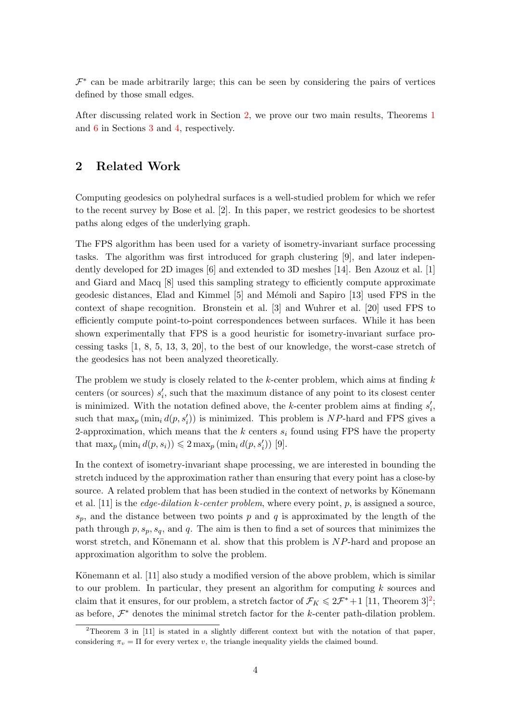$\mathcal{F}^*$  can be made arbitrarily large; this can be seen by considering the pairs of vertices defined by those small edges.

After discussing related work in Section [2,](#page-3-0) we prove our two main results, Theorems [1](#page-4-0) and [6](#page-8-0) in Sections [3](#page-4-1) and [4,](#page-8-1) respectively.

#### <span id="page-3-0"></span>2 Related Work

Computing geodesics on polyhedral surfaces is a well-studied problem for which we refer to the recent survey by Bose et al. [\[2\]](#page-11-3). In this paper, we restrict geodesics to be shortest paths along edges of the underlying graph.

The FPS algorithm has been used for a variety of isometry-invariant surface processing tasks. The algorithm was first introduced for graph clustering [\[9\]](#page-12-4), and later independently developed for 2D images [\[6\]](#page-12-9) and extended to 3D meshes [\[14\]](#page-12-5). Ben Azouz et al. [\[1\]](#page-11-4) and Giard and Macq [\[8\]](#page-12-10) used this sampling strategy to efficiently compute approximate geodesic distances, Elad and Kimmel [\[5\]](#page-11-1) and Mémoli and Sapiro [\[13\]](#page-12-3) used FPS in the context of shape recognition. Bronstein et al. [\[3\]](#page-11-0) and Wuhrer et al. [\[20\]](#page-12-11) used FPS to efficiently compute point-to-point correspondences between surfaces. While it has been shown experimentally that FPS is a good heuristic for isometry-invariant surface processing tasks [\[1,](#page-11-4) [8,](#page-12-10) [5,](#page-11-1) [13,](#page-12-3) [3,](#page-11-0) [20\]](#page-12-11), to the best of our knowledge, the worst-case stretch of the geodesics has not been analyzed theoretically.

The problem we study is closely related to the  $k$ -center problem, which aims at finding  $k$ centers (or sources)  $s_i'$ , such that the maximum distance of any point to its closest center is minimized. With the notation defined above, the k-center problem aims at finding  $s'_{i}$ , such that  $\max_p(\min_i d(p, s'_i))$  is minimized. This problem is NP-hard and FPS gives a 2-approximation, which means that the  $k$  centers  $s_i$  found using FPS have the property that  $\max_p (\min_i d(p, s_i)) \leq 2 \max_p (\min_i d(p, s'_i))$  [\[9\]](#page-12-4).

In the context of isometry-invariant shape processing, we are interested in bounding the stretch induced by the approximation rather than ensuring that every point has a close-by source. A related problem that has been studied in the context of networks by Könemann et al. [\[11\]](#page-12-12) is the *edge-dilation k-center problem*, where every point,  $p$ , is assigned a source,  $s_p$ , and the distance between two points p and q is approximated by the length of the path through  $p, s_p, s_q$ , and  $q$ . The aim is then to find a set of sources that minimizes the worst stretch, and Könemann et al. show that this problem is  $NP$ -hard and propose an approximation algorithm to solve the problem.

Könemann et al.  $[11]$  also study a modified version of the above problem, which is similar to our problem. In particular, they present an algorithm for computing k sources and claim that it ensures, for our problem, a stretch factor of  $\mathcal{F}_K \leq 2\mathcal{F}^* + 1$  $\mathcal{F}_K \leq 2\mathcal{F}^* + 1$  $\mathcal{F}_K \leq 2\mathcal{F}^* + 1$  [\[11,](#page-12-12) Theorem 3]<sup>2</sup>; as before,  $\mathcal{F}^*$  denotes the minimal stretch factor for the k-center path-dilation problem.

<span id="page-3-1"></span><sup>&</sup>lt;sup>2</sup>Theorem 3 in [\[11\]](#page-12-12) is stated in a slightly different context but with the notation of that paper, considering  $\pi_v = \Pi$  for every vertex v, the triangle inequality yields the claimed bound.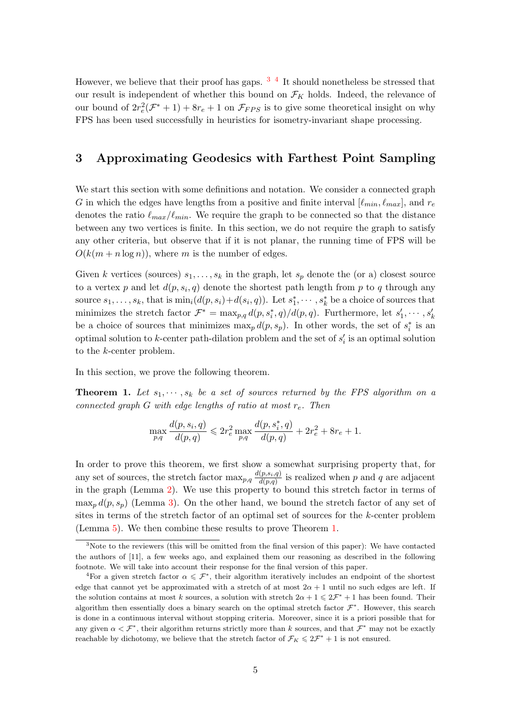However, we believe that their proof has gaps.  $3\frac{4}{1}$  $3\frac{4}{1}$  It should nonetheless be stressed that our result is independent of whether this bound on  $\mathcal{F}_K$  holds. Indeed, the relevance of our bound of  $2r_e^2(\mathcal{F}^*+1)+8r_e+1$  on  $\mathcal{F}_{FPS}$  is to give some theoretical insight on why FPS has been used successfully in heuristics for isometry-invariant shape processing.

#### <span id="page-4-1"></span>3 Approximating Geodesics with Farthest Point Sampling

We start this section with some definitions and notation. We consider a connected graph G in which the edges have lengths from a positive and finite interval  $[\ell_{min}, \ell_{max}]$ , and  $r_e$ denotes the ratio  $\ell_{max}/\ell_{min}$ . We require the graph to be connected so that the distance between any two vertices is finite. In this section, we do not require the graph to satisfy any other criteria, but observe that if it is not planar, the running time of FPS will be  $O(k(m + n \log n))$ , where m is the number of edges.

Given k vertices (sources)  $s_1, \ldots, s_k$  in the graph, let  $s_p$  denote the (or a) closest source to a vertex p and let  $d(p, s_i, q)$  denote the shortest path length from p to q through any source  $s_1, \ldots, s_k$ , that is  $\min_i(d(p, s_i) + d(s_i, q))$ . Let  $s_1^*, \cdots, s_k^*$  be a choice of sources that minimizes the stretch factor  $\mathcal{F}^* = \max_{p,q} d(p,s_i^*,q)/d(p,q)$ . Furthermore, let  $s'_1, \cdots, s'_k$ be a choice of sources that minimizes  $\max_p d(p, s_p)$ . In other words, the set of  $s_i^*$  is an optimal solution to k-center path-dilation problem and the set of  $s_i'$  is an optimal solution to the k-center problem.

<span id="page-4-0"></span>In this section, we prove the following theorem.

**Theorem 1.** Let  $s_1, \dots, s_k$  be a set of sources returned by the FPS algorithm on a connected graph G with edge lengths of ratio at most  $r_e$ . Then

$$
\max_{p,q} \frac{d(p,s_i,q)}{d(p,q)} \leqslant 2r_e^2 \max_{p,q} \frac{d(p,s_i^*,q)}{d(p,q)} + 2r_e^2 + 8r_e + 1.
$$

In order to prove this theorem, we first show a somewhat surprising property that, for any set of sources, the stretch factor  $\max_{p,q} \frac{d(p,s_i,q)}{d(p,q)}$  $\frac{(p,s_i,q)}{d(p,q)}$  is realized when p and q are adjacent in the graph (Lemma [2\)](#page-4-4). We use this property to bound this stretch factor in terms of  $\max_p d(p, s_p)$  (Lemma [3\)](#page-5-0). On the other hand, we bound the stretch factor of any set of sites in terms of the stretch factor of an optimal set of sources for the k-center problem (Lemma [5\)](#page-6-0). We then combine these results to prove Theorem [1.](#page-4-0)

<span id="page-4-4"></span><span id="page-4-2"></span><sup>3</sup>Note to the reviewers (this will be omitted from the final version of this paper): We have contacted the authors of [\[11\]](#page-12-12), a few weeks ago, and explained them our reasoning as described in the following footnote. We will take into account their response for the final version of this paper.

<span id="page-4-3"></span><sup>&</sup>lt;sup>4</sup>For a given stretch factor  $\alpha \leqslant \mathcal{F}^*$ , their algorithm iteratively includes an endpoint of the shortest edge that cannot yet be approximated with a stretch of at most  $2\alpha + 1$  until no such edges are left. If the solution contains at most k sources, a solution with stretch  $2\alpha + 1 \leq 2\mathcal{F}^* + 1$  has been found. Their algorithm then essentially does a binary search on the optimal stretch factor  $\mathcal{F}^*$ . However, this search is done in a continuous interval without stopping criteria. Moreover, since it is a priori possible that for any given  $\alpha < \mathcal{F}^*$ , their algorithm returns strictly more than k sources, and that  $\mathcal{F}^*$  may not be exactly reachable by dichotomy, we believe that the stretch factor of  $\mathcal{F}_K \leq 2\mathcal{F}^* + 1$  is not ensured.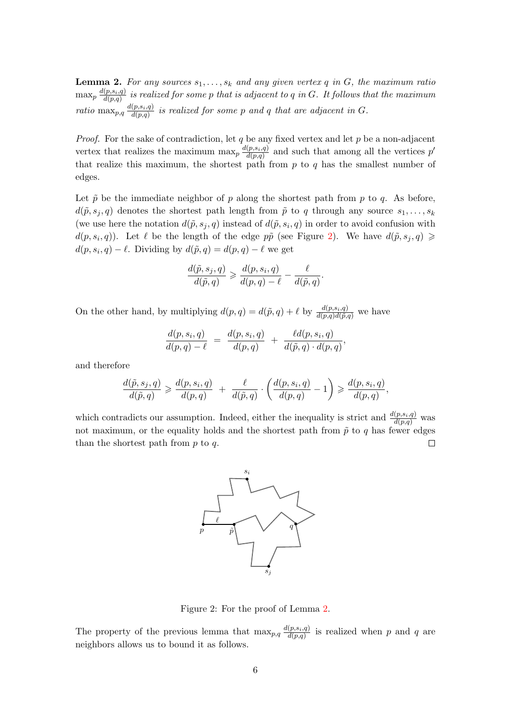**Lemma 2.** For any sources  $s_1, \ldots, s_k$  and any given vertex q in G, the maximum ratio  $\max_p \frac{d(p,s_i,q)}{d(p,q)}$  $\frac{\partial \langle p, s_i, q \rangle}{\partial (p,q)}$  is realized for some p that is adjacent to q in G  $\,$  It follows that the maximum ratio max<sub>p,q</sub>  $\frac{d(p,s_i,q)}{d(p,q)}$  $\frac{(p,s_i,q)}{d(p,q)}$  is realized for some p and q that are adjacent in G.

*Proof.* For the sake of contradiction, let q be any fixed vertex and let p be a non-adjacent vertex that realizes the maximum  $\max_p \frac{d(p,s_i,q)}{d(p,q)}$  $\frac{(p,s_i,q)}{d(p,q)}$  and such that among all the vertices  $p'$ that realize this maximum, the shortest path from  $p$  to  $q$  has the smallest number of edges.

Let  $\tilde{p}$  be the immediate neighbor of p along the shortest path from p to q. As before,  $d(\tilde{p}, s_i, q)$  denotes the shortest path length from  $\tilde{p}$  to q through any source  $s_1, \ldots, s_k$ (we use here the notation  $d(\tilde{p}, s_j, q)$  instead of  $d(\tilde{p}, s_i, q)$  in order to avoid confusion with  $d(p, s_i, q)$ ). Let  $\ell$  be the length of the edge  $p\tilde{p}$  (see Figure [2\)](#page-5-1). We have  $d(\tilde{p}, s_j, q) \geq$  $d(p, s_i, q) - \ell$ . Dividing by  $d(\tilde{p}, q) = d(p, q) - \ell$  we get

$$
\frac{d(\tilde{p}, s_j, q)}{d(\tilde{p}, q)} \geqslant \frac{d(p, s_i, q)}{d(p, q) - \ell} - \frac{\ell}{d(\tilde{p}, q)}.
$$

On the other hand, by multiplying  $d(p,q) = d(\tilde{p},q) + \ell$  by  $\frac{d(p,s_i,q)}{d(p,q)d(\tilde{p},q)}$  we have

$$
\frac{d(p,s_i,q)}{d(p,q)-\ell} \;=\; \frac{d(p,s_i,q)}{d(p,q)} \;+\; \frac{\ell d(p,s_i,q)}{d(\tilde{p},q)\cdot d(p,q)},
$$

and therefore

$$
\frac{d(\tilde{p}, s_j, q)}{d(\tilde{p}, q)} \geqslant \frac{d(p, s_i, q)}{d(p, q)} + \frac{\ell}{d(\tilde{p}, q)} \cdot \left(\frac{d(p, s_i, q)}{d(p, q)} - 1\right) \geqslant \frac{d(p, s_i, q)}{d(p, q)},
$$

which contradicts our assumption. Indeed, either the inequality is strict and  $\frac{d(p,s_i,q)}{d(p,q)}$  was not maximum, or the equality holds and the shortest path from  $\tilde{p}$  to q has fewer edges than the shortest path from  $p$  to  $q$ .  $\Box$ 



<span id="page-5-1"></span>Figure 2: For the proof of Lemma [2.](#page-4-4)

<span id="page-5-0"></span>The property of the previous lemma that  $\max_{p,q} \frac{d(p,s_i,q)}{d(p,q)}$  $\frac{(p,s_i,q_j)}{d(p,q)}$  is realized when p and q are neighbors allows us to bound it as follows.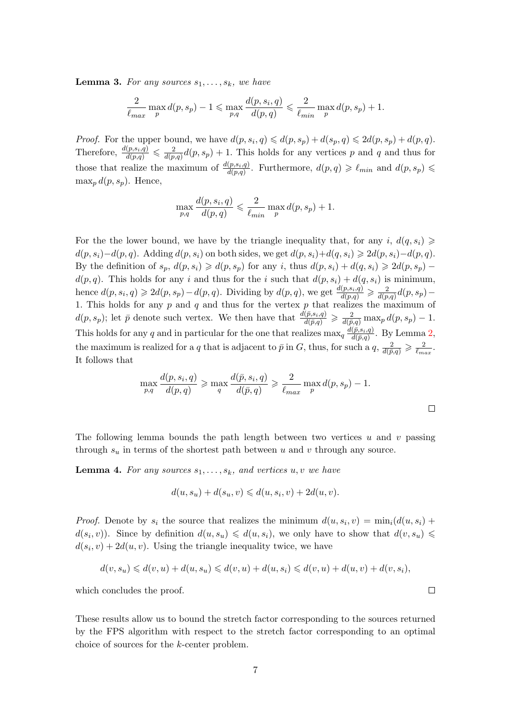**Lemma 3.** For any sources  $s_1, \ldots, s_k$ , we have

$$
\frac{2}{\ell_{max}}\max_{p} d(p, s_p) - 1 \leqslant \max_{p,q} \frac{d(p, s_i, q)}{d(p, q)} \leqslant \frac{2}{\ell_{min}}\max_{p} d(p, s_p) + 1.
$$

*Proof.* For the upper bound, we have  $d(p, s_i, q) \leq d(p, s_p) + d(s_p, q) \leq 2d(p, s_p) + d(p, q)$ . Therefore,  $\frac{d(p,s_i,q)}{d(p,q)} \leqslant \frac{2}{d(p,q)}d(p,s_p) + 1$ . This holds for any vertices p and q and thus for those that realize the maximum of  $\frac{d(p,s_i,q)}{d(p,q)}$ . Furthermore,  $d(p,q) \geq \ell_{min}$  and  $d(p,s_p) \leq$  $\max_p d(p, s_p)$ . Hence,

$$
\max_{p,q} \frac{d(p,s_i,q)}{d(p,q)} \leqslant \frac{2}{\ell_{\min}} \max_{p} d(p,s_p) + 1.
$$

For the the lower bound, we have by the triangle inequality that, for any i,  $d(q, s_i) \geq$  $d(p, s_i)-d(p, q)$ . Adding  $d(p, s_i)$  on both sides, we get  $d(p, s_i)+d(q, s_i) \geq 2d(p, s_i)-d(p, q)$ . By the definition of  $s_p$ ,  $d(p, s_i) \geq d(p, s_p)$  for any i, thus  $d(p, s_i) + d(q, s_i) \geq 2d(p, s_p)$  $d(p, q)$ . This holds for any i and thus for the i such that  $d(p, s_i) + d(q, s_i)$  is minimum, hence  $d(p, s_i, q) \geq 2d(p, s_p) - d(p, q)$ . Dividing by  $d(p, q)$ , we get  $\frac{d(p, s_i, q)}{d(p, q)} \geq \frac{2}{d(p, q)}d(p, s_p) -$ 1. This holds for any  $p$  and  $q$  and thus for the vertex  $p$  that realizes the maximum of  $d(p, s_p)$ ; let  $\bar{p}$  denote such vertex. We then have that  $\frac{d(\bar{p}, s_i, q)}{d(\bar{p}, q)} \geqslant \frac{2}{d(\bar{p}, q)} \max_p d(p, s_p) - 1$ . This holds for any q and in particular for the one that realizes  $\max_q \frac{d(\bar{p}, s_i, q)}{d(\bar{p}, q)}$  $\frac{(p,s_i,q_j)}{d(\bar{p},q)}$ . By Lemma [2,](#page-4-4) the maximum is realized for a q that is adjacent to  $\bar{p}$  in G, thus, for such a  $q$ ,  $\frac{2}{d(\bar{p},q)} \geqslant \frac{2}{\ell_{max}}$ . It follows that

$$
\max_{p,q} \frac{d(p,s_i,q)}{d(p,q)} \ge \max_q \frac{d(\bar{p},s_i,q)}{d(\bar{p},q)} \ge \frac{2}{\ell_{max}} \max_p d(p,s_p) - 1.
$$

The following lemma bounds the path length between two vertices  $u$  and  $v$  passing through  $s_u$  in terms of the shortest path between u and v through any source.

<span id="page-6-1"></span>**Lemma 4.** For any sources  $s_1, \ldots, s_k$ , and vertices  $u, v$  we have

$$
d(u, s_u) + d(s_u, v) \leq d(u, s_i, v) + 2d(u, v).
$$

*Proof.* Denote by  $s_i$  the source that realizes the minimum  $d(u, s_i, v) = \min_i (d(u, s_i) +$  $d(s_i, v)$ ). Since by definition  $d(u, s_u) \leq d(u, s_i)$ , we only have to show that  $d(v, s_u) \leq$  $d(s_i, v) + 2d(u, v)$ . Using the triangle inequality twice, we have

$$
d(v, s_u) \leq d(v, u) + d(u, s_u) \leq d(v, u) + d(u, s_i) \leq d(v, u) + d(u, v) + d(v, s_i),
$$

which concludes the proof.

<span id="page-6-0"></span>These results allow us to bound the stretch factor corresponding to the sources returned by the FPS algorithm with respect to the stretch factor corresponding to an optimal choice of sources for the k-center problem.

 $\Box$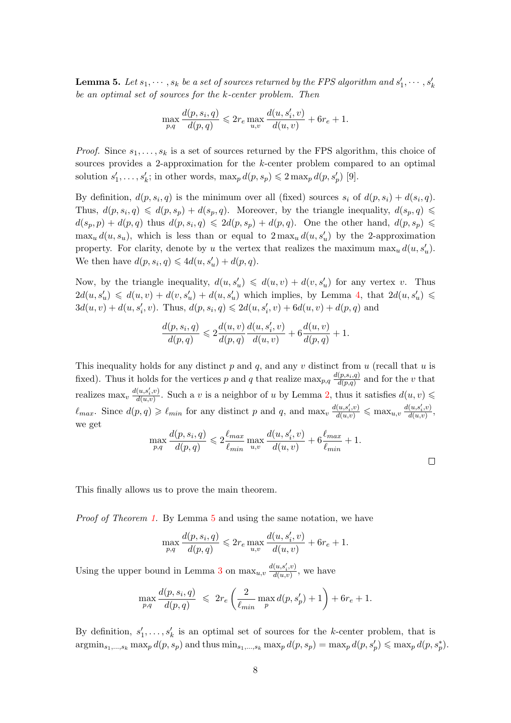**Lemma 5.** Let  $s_1, \dots, s_k$  be a set of sources returned by the FPS algorithm and  $s'_1, \dots, s'_k$ be an optimal set of sources for the k-center problem. Then

$$
\max_{p,q} \frac{d(p,s_i,q)}{d(p,q)} \leq 2r_e \max_{u,v} \frac{d(u,s'_i,v)}{d(u,v)} + 6r_e + 1.
$$

*Proof.* Since  $s_1, \ldots, s_k$  is a set of sources returned by the FPS algorithm, this choice of sources provides a 2-approximation for the k-center problem compared to an optimal solution  $s'_1, \ldots, s'_k$ ; in other words,  $\max_p d(p, s_p) \leq 2 \max_p d(p, s'_p)$  [\[9\]](#page-12-4).

By definition,  $d(p, s_i, q)$  is the minimum over all (fixed) sources  $s_i$  of  $d(p, s_i) + d(s_i, q)$ . Thus,  $d(p, s_i, q) \leq d(p, s_p) + d(s_p, q)$ . Moreover, by the triangle inequality,  $d(s_p, q) \leq$  $d(s_p, p) + d(p, q)$  thus  $d(p, s_i, q) \leq 2d(p, s_p) + d(p, q)$ . One the other hand,  $d(p, s_p) \leq$  $\max_u d(u, s_u)$ , which is less than or equal to  $2 \max_u d(u, s'_u)$  by the 2-approximation property. For clarity, denote by u the vertex that realizes the maximum  $\max_u d(u, s'_u)$ . We then have  $d(p, s_i, q) \leq 4d(u, s'_u) + d(p, q)$ .

Now, by the triangle inequality,  $d(u, s'_u) \leq d(u, v) + d(v, s'_u)$  for any vertex v. Thus  $2d(u, s'_u) \leq d(u, v) + d(v, s'_u) + d(u, s'_u)$  which implies, by Lemma [4,](#page-6-1) that  $2d(u, s'_u) \leq$  $3d(u, v) + d(u, s'_i, v)$ . Thus,  $d(p, s_i, q) \leq 2d(u, s'_i, v) + 6d(u, v) + d(p, q)$  and

$$
\frac{d(p, s_i, q)}{d(p, q)} \leq 2 \frac{d(u, v)}{d(p, q)} \frac{d(u, s'_i, v)}{d(u, v)} + 6 \frac{d(u, v)}{d(p, q)} + 1.
$$

This inequality holds for any distinct p and q, and any v distinct from  $u$  (recall that  $u$  is fixed). Thus it holds for the vertices p and q that realize  $\max_{p,q} \frac{d(p,s_i,q)}{d(p,q)}$  $\frac{(p,s_i,q)}{d(p,q)}$  and for the v that realizes  $\max_v \frac{d(u,s'_i,v)}{d(u,v)}$  $\frac{(u,s_i,v)}{d(u,v)}$ . Such a v is a neighbor of u by Lemma [2,](#page-4-4) thus it satisfies  $d(u,v)$  $\ell_{max}$ . Since  $d(p,q) \geq \ell_{min}$  for any distinct p and q, and  $\max_v \frac{d(u,s'_i,v)}{d(u,v)} \leq \max_{u,v} \frac{d(u,s'_i,v)}{d(u,v)}$  $\frac{d(u,s_i,v)}{d(u,v)},$ we get

$$
\max_{p,q} \frac{d(p,s_i,q)}{d(p,q)} \leqslant 2 \frac{\ell_{max}}{\ell_{min}} \max_{u,v} \frac{d(u,s'_i,v)}{d(u,v)} + 6 \frac{\ell_{max}}{\ell_{min}} + 1.
$$

 $\Box$ 

This finally allows us to prove the main theorem.

Proof of Theorem [1.](#page-4-0) By Lemma [5](#page-6-0) and using the same notation, we have

$$
\max_{p,q} \frac{d(p,s_i,q)}{d(p,q)} \leqslant 2r_e \max_{u,v} \frac{d(u,s'_i,v)}{d(u,v)} + 6r_e + 1.
$$

Using the upper bound in Lemma [3](#page-5-0) on  $\max_{u,v} \frac{d(u,s'_i,v)}{d(u,v)}$  $\frac{(u,s_i,v)}{d(u,v)}$ , we have

$$
\max_{p,q} \frac{d(p,s_i,q)}{d(p,q)} \leq 2r_e \left( \frac{2}{\ell_{\min}} \max_p d(p,s'_p) + 1 \right) + 6r_e + 1.
$$

By definition,  $s'_1, \ldots, s'_k$  is an optimal set of sources for the k-center problem, that is  $\operatorname{argmin}_{s_1,\ldots,s_k} \max_p d(p,s_p)$  and thus  $\min_{s_1,\ldots,s_k} \max_p d(p,s_p) = \max_p d(p,s'_p) \leqslant \max_p d(p,s_p^*)$ .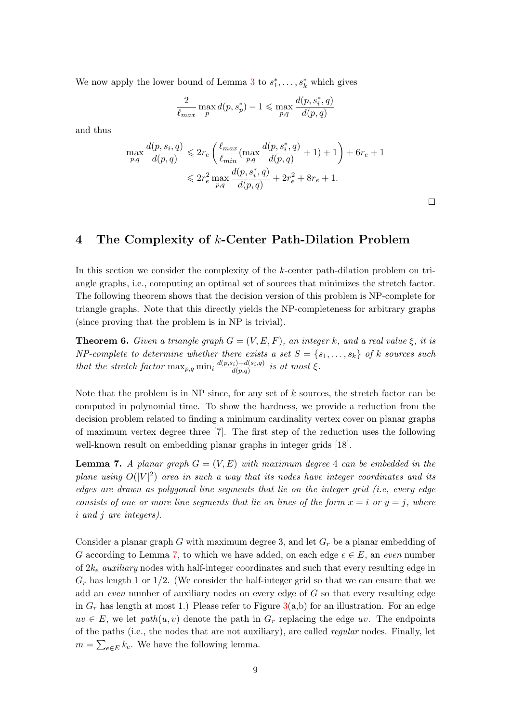We now apply the lower bound of Lemma [3](#page-5-0) to  $s_1^*, \ldots, s_k^*$  which gives

$$
\frac{2}{\ell_{max}}\max_p d(p,s_p^*) - 1 \leqslant \max_{p,q} \frac{d(p,s_i^*,q)}{d(p,q)}
$$

and thus

$$
\max_{p,q} \frac{d(p, s_i, q)}{d(p, q)} \leq 2r_e \left( \frac{\ell_{max}}{\ell_{min}} (\max_{p,q} \frac{d(p, s_i^*, q)}{d(p, q)} + 1) + 1 \right) + 6r_e + 1
$$
  

$$
\leq 2r_e^2 \max_{p,q} \frac{d(p, s_i^*, q)}{d(p, q)} + 2r_e^2 + 8r_e + 1.
$$

 $\Box$ 

## <span id="page-8-1"></span>4 The Complexity of k-Center Path-Dilation Problem

In this section we consider the complexity of the k-center path-dilation problem on triangle graphs, i.e., computing an optimal set of sources that minimizes the stretch factor. The following theorem shows that the decision version of this problem is NP-complete for triangle graphs. Note that this directly yields the NP-completeness for arbitrary graphs (since proving that the problem is in NP is trivial).

<span id="page-8-0"></span>**Theorem 6.** Given a triangle graph  $G = (V, E, F)$ , an integer k, and a real value  $\xi$ , it is NP-complete to determine whether there exists a set  $S = \{s_1, \ldots, s_k\}$  of k sources such that the stretch factor  $\max_{p,q} \min_i \frac{d(p,s_i)+d(s_i,q)}{d(p,q)}$  $\frac{d^i(i)+d(s_i,q)}{d(p,q)}$  is at most  $\xi$ .

Note that the problem is in  $NP$  since, for any set of  $k$  sources, the stretch factor can be computed in polynomial time. To show the hardness, we provide a reduction from the decision problem related to finding a minimum cardinality vertex cover on planar graphs of maximum vertex degree three [\[7\]](#page-12-13). The first step of the reduction uses the following well-known result on embedding planar graphs in integer grids [\[18\]](#page-12-14).

<span id="page-8-2"></span>**Lemma 7.** A planar graph  $G = (V, E)$  with maximum degree 4 can be embedded in the plane using  $O(|V|^2)$  area in such a way that its nodes have integer coordinates and its edges are drawn as polygonal line segments that lie on the integer grid (i.e, every edge consists of one or more line segments that lie on lines of the form  $x = i$  or  $y = j$ , where i and j are integers).

<span id="page-8-3"></span>Consider a planar graph G with maximum degree 3, and let  $G_r$  be a planar embedding of G according to Lemma [7,](#page-8-2) to which we have added, on each edge  $e \in E$ , an even number of  $2k_e$  *auxiliary* nodes with half-integer coordinates and such that every resulting edge in  $G_r$  has length 1 or  $1/2$ . (We consider the half-integer grid so that we can ensure that we add an even number of auxiliary nodes on every edge of  $G$  so that every resulting edge in  $G_r$  has length at most 1.) Please refer to Figure [3\(](#page-9-0)a,b) for an illustration. For an edge  $uv \in E$ , we let  $path(u, v)$  denote the path in  $G_r$  replacing the edge uv. The endpoints of the paths (i.e., the nodes that are not auxiliary), are called regular nodes. Finally, let  $m = \sum_{e \in E} k_e$ . We have the following lemma.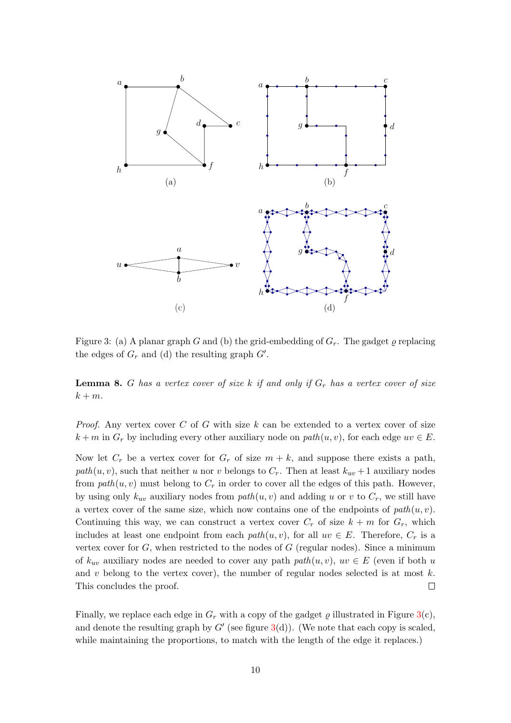

<span id="page-9-0"></span>Figure 3: (a) A planar graph G and (b) the grid-embedding of  $G_r$ . The gadget  $\varrho$  replacing the edges of  $G_r$  and (d) the resulting graph  $G'$ .

**Lemma 8.** G has a vertex cover of size k if and only if  $G_r$  has a vertex cover of size  $k + m$ .

*Proof.* Any vertex cover C of G with size  $k$  can be extended to a vertex cover of size  $k + m$  in  $G_r$  by including every other auxiliary node on path $(u, v)$ , for each edge  $uv \in E$ .

Now let  $C_r$  be a vertex cover for  $G_r$  of size  $m + k$ , and suppose there exists a path, path $(u, v)$ , such that neither u nor v belongs to  $C_r$ . Then at least  $k_{uv} + 1$  auxiliary nodes from  $path(u, v)$  must belong to  $C_r$  in order to cover all the edges of this path. However, by using only  $k_{uv}$  auxiliary nodes from  $path(u, v)$  and adding u or v to  $C_r$ , we still have a vertex cover of the same size, which now contains one of the endpoints of  $path(u, v)$ . Continuing this way, we can construct a vertex cover  $C_r$  of size  $k + m$  for  $G_r$ , which includes at least one endpoint from each  $path(u, v)$ , for all  $uv \in E$ . Therefore,  $C_r$  is a vertex cover for  $G$ , when restricted to the nodes of  $G$  (regular nodes). Since a minimum of  $k_{uv}$  auxiliary nodes are needed to cover any path path $(u, v)$ ,  $uv \in E$  (even if both u and v belong to the vertex cover), the number of regular nodes selected is at most  $k$ . This concludes the proof.  $\Box$ 

Finally, we replace each edge in  $G_r$  with a copy of the gadget  $\rho$  illustrated in Figure [3\(](#page-9-0)c), and denote the resulting graph by  $G'$  (see figure  $3(d)$  $3(d)$ ). (We note that each copy is scaled, while maintaining the proportions, to match with the length of the edge it replaces.)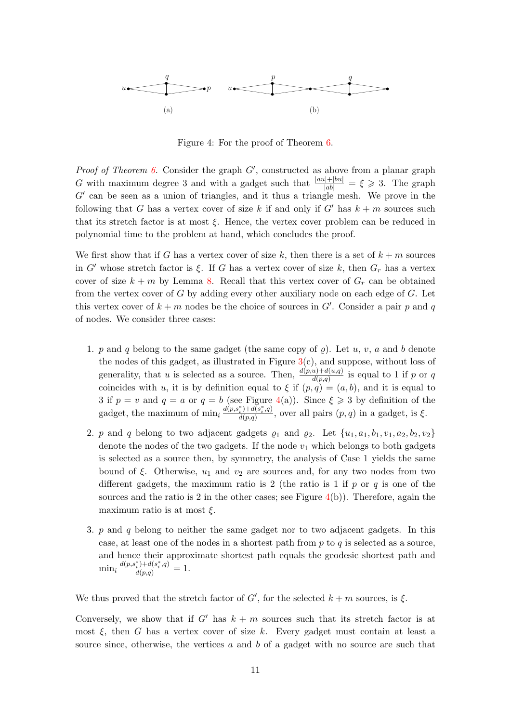

<span id="page-10-0"></span>Figure 4: For the proof of Theorem [6.](#page-8-0)

*Proof of Theorem [6.](#page-8-0)* Consider the graph  $G'$ , constructed as above from a planar graph G with maximum degree 3 and with a gadget such that  $\frac{|au|+|bu|}{|ab|} = \xi \geq 3$ . The graph  $G'$  can be seen as a union of triangles, and it thus a triangle mesh. We prove in the following that G has a vertex cover of size k if and only if  $G'$  has  $k + m$  sources such that its stretch factor is at most  $\xi$ . Hence, the vertex cover problem can be reduced in polynomial time to the problem at hand, which concludes the proof.

We first show that if G has a vertex cover of size k, then there is a set of  $k + m$  sources in G' whose stretch factor is ξ. If G has a vertex cover of size k, then  $G_r$  has a vertex cover of size  $k + m$  by Lemma [8.](#page-8-3) Recall that this vertex cover of  $G_r$  can be obtained from the vertex cover of  $G$  by adding every other auxiliary node on each edge of  $G$ . Let this vertex cover of  $k + m$  nodes be the choice of sources in  $G'$ . Consider a pair p and q of nodes. We consider three cases:

- 1. p and q belong to the same gadget (the same copy of  $\rho$ ). Let u, v, a and b denote the nodes of this gadget, as illustrated in Figure  $3(c)$  $3(c)$ , and suppose, without loss of generality, that u is selected as a source. Then,  $\frac{d(p,u)+d(u,q)}{d(p,q)}$  is equal to 1 if p or q coincides with u, it is by definition equal to  $\xi$  if  $(p, q) = (a, b)$ , and it is equal to 3 if  $p = v$  and  $q = a$  or  $q = b$  (see Figure [4\(](#page-10-0)a)). Since  $\xi \geq 3$  by definition of the gadget, the maximum of  $\min_i \frac{d(p, s_i^*) + d(s_i^*, q)}{d(p, q)}$  $\frac{d}{d(p,q)}\frac{d}{d(p,q)}$ , over all pairs  $(p,q)$  in a gadget, is  $\xi$ .
- 2. p and q belong to two adjacent gadgets  $\varrho_1$  and  $\varrho_2$ . Let  $\{u_1, a_1, b_1, v_1, a_2, b_2, v_2\}$ denote the nodes of the two gadgets. If the node  $v_1$  which belongs to both gadgets is selected as a source then, by symmetry, the analysis of Case 1 yields the same bound of  $\xi$ . Otherwise,  $u_1$  and  $v_2$  are sources and, for any two nodes from two different gadgets, the maximum ratio is 2 (the ratio is 1 if  $p$  or  $q$  is one of the sources and the ratio is 2 in the other cases; see Figure  $4(b)$  $4(b)$ ). Therefore, again the maximum ratio is at most  $\xi$ .
- 3.  $p$  and  $q$  belong to neither the same gadget nor to two adjacent gadgets. In this case, at least one of the nodes in a shortest path from  $p$  to  $q$  is selected as a source, and hence their approximate shortest path equals the geodesic shortest path and  $\min_i \frac{d(p,s_i^*) + d(s_i^*,q)}{d(p,q)} = 1.$

We thus proved that the stretch factor of  $G'$ , for the selected  $k + m$  sources, is  $\xi$ .

Conversely, we show that if G' has  $k + m$  sources such that its stretch factor is at most  $\xi$ , then G has a vertex cover of size k. Every gadget must contain at least a source since, otherwise, the vertices  $a$  and  $b$  of a gadget with no source are such that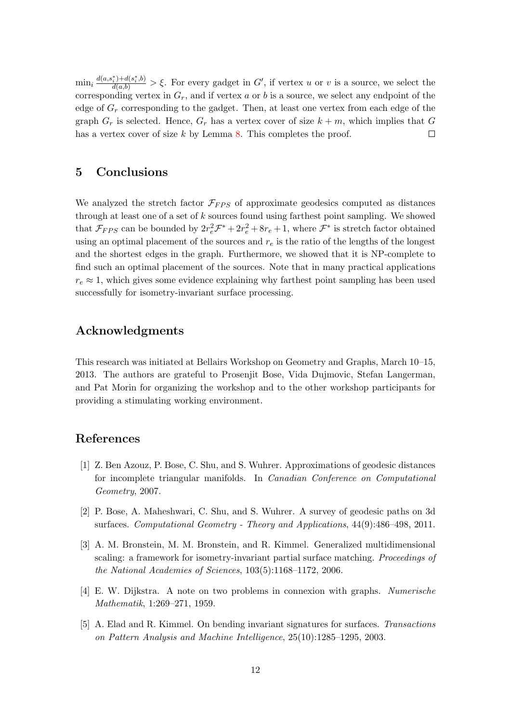$\min_i \frac{d(a,s_i^*)+d(s_i^*,b)}{d(a,b)} > \xi$ . For every gadget in G', if vertex u or v is a source, we select the corresponding vertex in  $G_r$ , and if vertex a or b is a source, we select any endpoint of the edge of  $G_r$  corresponding to the gadget. Then, at least one vertex from each edge of the graph  $G_r$  is selected. Hence,  $G_r$  has a vertex cover of size  $k + m$ , which implies that G has a vertex cover of size  $k$  by Lemma [8.](#page-8-3) This completes the proof.  $\Box$ 

#### 5 Conclusions

We analyzed the stretch factor  $\mathcal{F}_{FPS}$  of approximate geodesics computed as distances through at least one of a set of  $k$  sources found using farthest point sampling. We showed that  $\mathcal{F}_{FPS}$  can be bounded by  $2r_e^2 \mathcal{F}^* + 2r_e^2 + 8r_e + 1$ , where  $\mathcal{F}^*$  is stretch factor obtained using an optimal placement of the sources and  $r<sub>e</sub>$  is the ratio of the lengths of the longest and the shortest edges in the graph. Furthermore, we showed that it is NP-complete to find such an optimal placement of the sources. Note that in many practical applications  $r_e \approx 1$ , which gives some evidence explaining why farthest point sampling has been used successfully for isometry-invariant surface processing.

### Acknowledgments

This research was initiated at Bellairs Workshop on Geometry and Graphs, March 10–15, 2013. The authors are grateful to Prosenjit Bose, Vida Dujmovic, Stefan Langerman, and Pat Morin for organizing the workshop and to the other workshop participants for providing a stimulating working environment.

#### References

- <span id="page-11-4"></span>[1] Z. Ben Azouz, P. Bose, C. Shu, and S. Wuhrer. Approximations of geodesic distances for incomplete triangular manifolds. In Canadian Conference on Computational Geometry, 2007.
- <span id="page-11-3"></span>[2] P. Bose, A. Maheshwari, C. Shu, and S. Wuhrer. A survey of geodesic paths on 3d surfaces. Computational Geometry - Theory and Applications, 44(9):486–498, 2011.
- <span id="page-11-0"></span>[3] A. M. Bronstein, M. M. Bronstein, and R. Kimmel. Generalized multidimensional scaling: a framework for isometry-invariant partial surface matching. Proceedings of the National Academies of Sciences, 103(5):1168–1172, 2006.
- <span id="page-11-2"></span>[4] E. W. Dijkstra. A note on two problems in connexion with graphs. Numerische Mathematik, 1:269–271, 1959.
- <span id="page-11-1"></span>[5] A. Elad and R. Kimmel. On bending invariant signatures for surfaces. Transactions on Pattern Analysis and Machine Intelligence, 25(10):1285–1295, 2003.